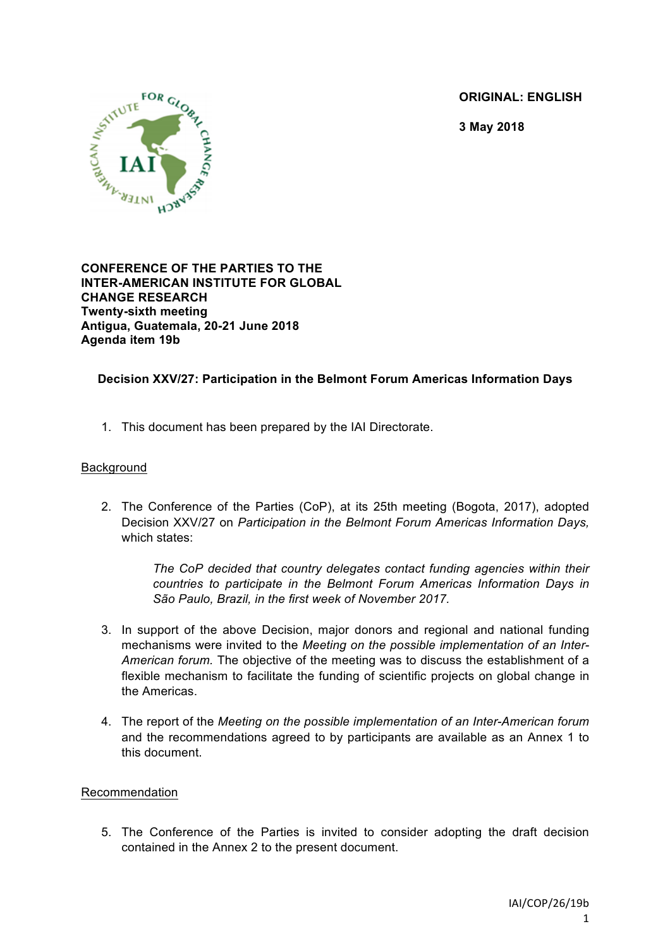**ORIGINAL: ENGLISH**

**3 May 2018**



**CONFERENCE OF THE PARTIES TO THE INTER-AMERICAN INSTITUTE FOR GLOBAL CHANGE RESEARCH Twenty-sixth meeting Antigua, Guatemala, 20-21 June 2018 Agenda item 19b**

# **Decision XXV/27: Participation in the Belmont Forum Americas Information Days**

1. This document has been prepared by the IAI Directorate.

### Background

2. The Conference of the Parties (CoP), at its 25th meeting (Bogota, 2017), adopted Decision XXV/27 on *Participation in the Belmont Forum Americas Information Days,* which states:

> *The CoP decided that country delegates contact funding agencies within their countries to participate in the Belmont Forum Americas Information Days in São Paulo, Brazil, in the first week of November 2017.*

- 3. In support of the above Decision, major donors and regional and national funding mechanisms were invited to the *Meeting on the possible implementation of an Inter-American forum.* The objective of the meeting was to discuss the establishment of a flexible mechanism to facilitate the funding of scientific projects on global change in the Americas.
- 4. The report of the *Meeting on the possible implementation of an Inter-American forum* and the recommendations agreed to by participants are available as an Annex 1 to this document.

#### Recommendation

5. The Conference of the Parties is invited to consider adopting the draft decision contained in the Annex 2 to the present document.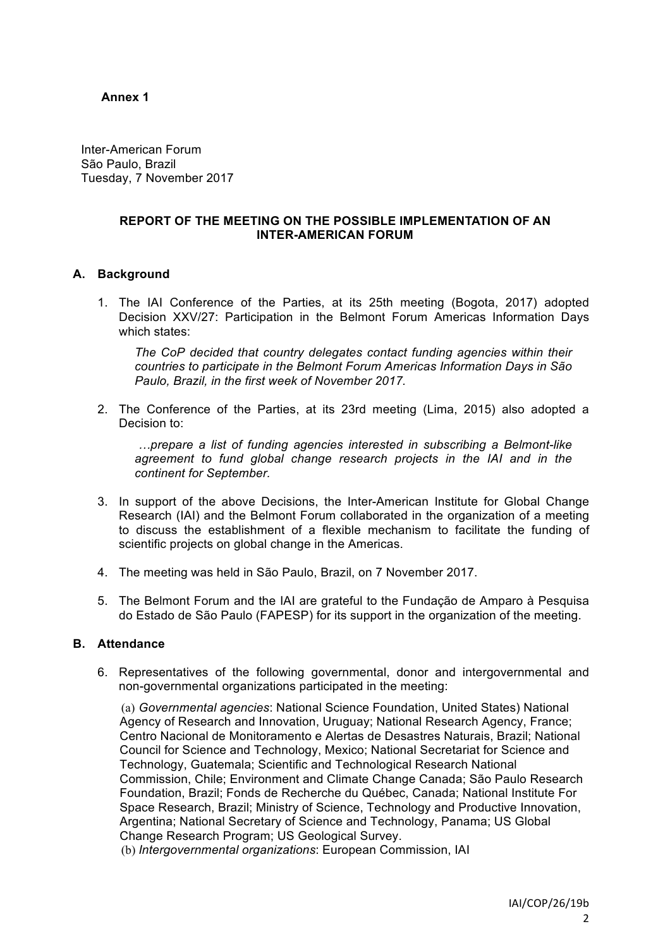## **Annex 1**

Inter-American Forum São Paulo, Brazil Tuesday, 7 November 2017

### **REPORT OF THE MEETING ON THE POSSIBLE IMPLEMENTATION OF AN INTER-AMERICAN FORUM**

## **A. Background**

1. The IAI Conference of the Parties, at its 25th meeting (Bogota, 2017) adopted Decision XXV/27: Participation in the Belmont Forum Americas Information Days which states:

*The CoP decided that country delegates contact funding agencies within their countries to participate in the Belmont Forum Americas Information Days in São Paulo, Brazil, in the first week of November 2017.*

2. The Conference of the Parties, at its 23rd meeting (Lima, 2015) also adopted a Decision to:

*…prepare a list of funding agencies interested in subscribing a Belmont-like*  agreement to fund global change research projects in the IAI and in the *continent for September.*

- 3. In support of the above Decisions, the Inter-American Institute for Global Change Research (IAI) and the Belmont Forum collaborated in the organization of a meeting to discuss the establishment of a flexible mechanism to facilitate the funding of scientific projects on global change in the Americas.
- 4. The meeting was held in São Paulo, Brazil, on 7 November 2017.
- 5. The Belmont Forum and the IAI are grateful to the Fundação de Amparo à Pesquisa do Estado de São Paulo (FAPESP) for its support in the organization of the meeting.

# **B. Attendance**

6. Representatives of the following governmental, donor and intergovernmental and non-governmental organizations participated in the meeting:

(a) *Governmental agencies*: National Science Foundation, United States) National Agency of Research and Innovation, Uruguay; National Research Agency, France; Centro Nacional de Monitoramento e Alertas de Desastres Naturais, Brazil; National Council for Science and Technology, Mexico; National Secretariat for Science and Technology, Guatemala; Scientific and Technological Research National Commission, Chile; Environment and Climate Change Canada; São Paulo Research Foundation, Brazil; Fonds de Recherche du Québec, Canada; National Institute For Space Research, Brazil; Ministry of Science, Technology and Productive Innovation, Argentina; National Secretary of Science and Technology, Panama; US Global Change Research Program; US Geological Survey.

(b) *Intergovernmental organizations*: European Commission, IAI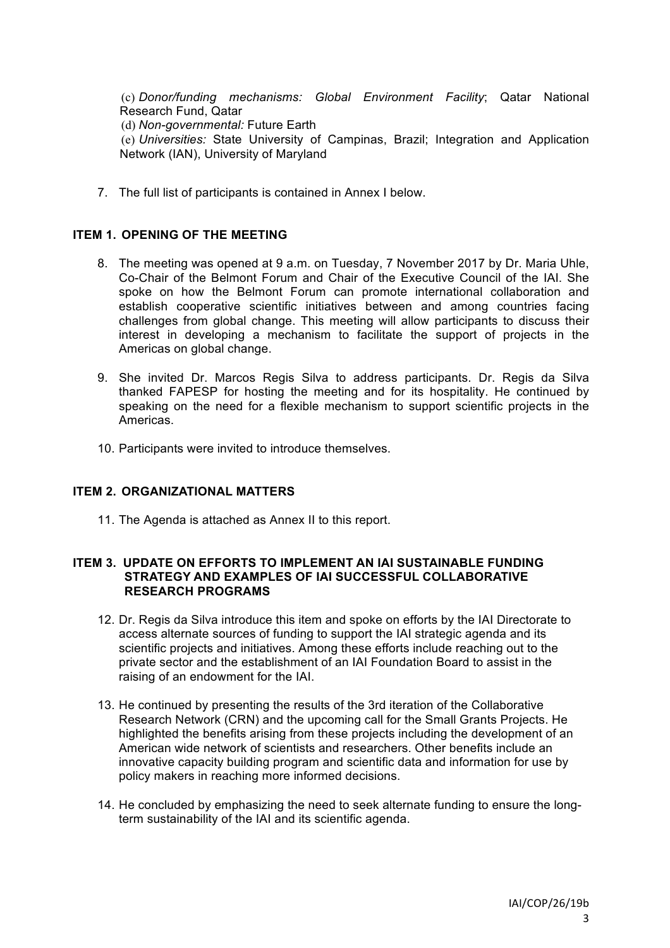(c) *Donor/funding mechanisms: Global Environment Facility*; Qatar National Research Fund, Qatar (d) *Non-governmental:* Future Earth (e) *Universities:* State University of Campinas, Brazil; Integration and Application Network (IAN), University of Maryland

7. The full list of participants is contained in Annex I below.

### **ITEM 1. OPENING OF THE MEETING**

- 8. The meeting was opened at 9 a.m. on Tuesday, 7 November 2017 by Dr. Maria Uhle, Co-Chair of the Belmont Forum and Chair of the Executive Council of the IAI. She spoke on how the Belmont Forum can promote international collaboration and establish cooperative scientific initiatives between and among countries facing challenges from global change. This meeting will allow participants to discuss their interest in developing a mechanism to facilitate the support of projects in the Americas on global change.
- 9. She invited Dr. Marcos Regis Silva to address participants. Dr. Regis da Silva thanked FAPESP for hosting the meeting and for its hospitality. He continued by speaking on the need for a flexible mechanism to support scientific projects in the Americas.
- 10. Participants were invited to introduce themselves.

#### **ITEM 2. ORGANIZATIONAL MATTERS**

11. The Agenda is attached as Annex II to this report.

#### **ITEM 3. UPDATE ON EFFORTS TO IMPLEMENT AN IAI SUSTAINABLE FUNDING STRATEGY AND EXAMPLES OF IAI SUCCESSFUL COLLABORATIVE RESEARCH PROGRAMS**

- 12. Dr. Regis da Silva introduce this item and spoke on efforts by the IAI Directorate to access alternate sources of funding to support the IAI strategic agenda and its scientific projects and initiatives. Among these efforts include reaching out to the private sector and the establishment of an IAI Foundation Board to assist in the raising of an endowment for the IAI.
- 13. He continued by presenting the results of the 3rd iteration of the Collaborative Research Network (CRN) and the upcoming call for the Small Grants Projects. He highlighted the benefits arising from these projects including the development of an American wide network of scientists and researchers. Other benefits include an innovative capacity building program and scientific data and information for use by policy makers in reaching more informed decisions.
- 14. He concluded by emphasizing the need to seek alternate funding to ensure the longterm sustainability of the IAI and its scientific agenda.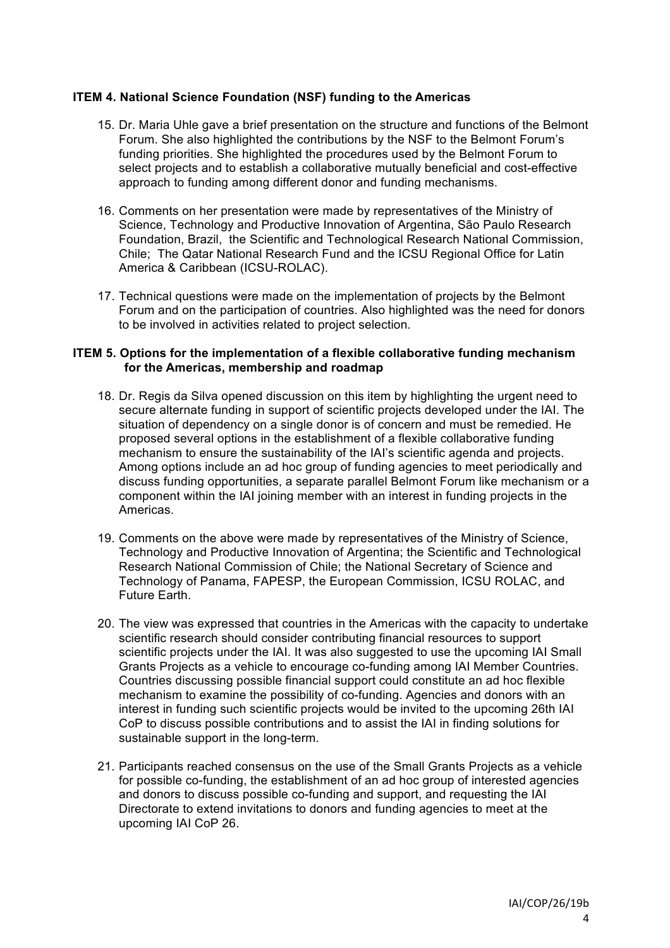## **ITEM 4. National Science Foundation (NSF) funding to the Americas**

- 15. Dr. Maria Uhle gave a brief presentation on the structure and functions of the Belmont Forum. She also highlighted the contributions by the NSF to the Belmont Forum's funding priorities. She highlighted the procedures used by the Belmont Forum to select projects and to establish a collaborative mutually beneficial and cost-effective approach to funding among different donor and funding mechanisms.
- 16. Comments on her presentation were made by representatives of the Ministry of Science, Technology and Productive Innovation of Argentina, São Paulo Research Foundation, Brazil, the Scientific and Technological Research National Commission, Chile; The Qatar National Research Fund and the ICSU Regional Office for Latin America & Caribbean (ICSU-ROLAC).
- 17. Technical questions were made on the implementation of projects by the Belmont Forum and on the participation of countries. Also highlighted was the need for donors to be involved in activities related to project selection.

#### **ITEM 5. Options for the implementation of a flexible collaborative funding mechanism for the Americas, membership and roadmap**

- 18. Dr. Regis da Silva opened discussion on this item by highlighting the urgent need to secure alternate funding in support of scientific projects developed under the IAI. The situation of dependency on a single donor is of concern and must be remedied. He proposed several options in the establishment of a flexible collaborative funding mechanism to ensure the sustainability of the IAI's scientific agenda and projects. Among options include an ad hoc group of funding agencies to meet periodically and discuss funding opportunities, a separate parallel Belmont Forum like mechanism or a component within the IAI joining member with an interest in funding projects in the Americas.
- 19. Comments on the above were made by representatives of the Ministry of Science, Technology and Productive Innovation of Argentina; the Scientific and Technological Research National Commission of Chile; the National Secretary of Science and Technology of Panama, FAPESP, the European Commission, ICSU ROLAC, and Future Earth.
- 20. The view was expressed that countries in the Americas with the capacity to undertake scientific research should consider contributing financial resources to support scientific projects under the IAI. It was also suggested to use the upcoming IAI Small Grants Projects as a vehicle to encourage co-funding among IAI Member Countries. Countries discussing possible financial support could constitute an ad hoc flexible mechanism to examine the possibility of co-funding. Agencies and donors with an interest in funding such scientific projects would be invited to the upcoming 26th IAI CoP to discuss possible contributions and to assist the IAI in finding solutions for sustainable support in the long-term.
- 21. Participants reached consensus on the use of the Small Grants Projects as a vehicle for possible co-funding, the establishment of an ad hoc group of interested agencies and donors to discuss possible co-funding and support, and requesting the IAI Directorate to extend invitations to donors and funding agencies to meet at the upcoming IAI CoP 26.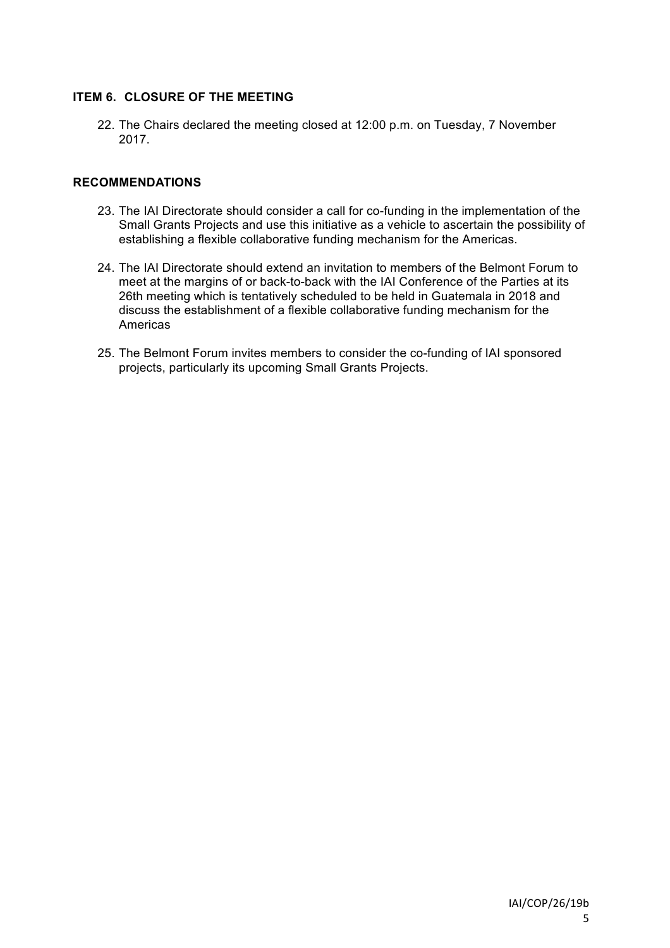# **ITEM 6. CLOSURE OF THE MEETING**

22. The Chairs declared the meeting closed at 12:00 p.m. on Tuesday, 7 November 2017.

## **RECOMMENDATIONS**

- 23. The IAI Directorate should consider a call for co-funding in the implementation of the Small Grants Projects and use this initiative as a vehicle to ascertain the possibility of establishing a flexible collaborative funding mechanism for the Americas.
- 24. The IAI Directorate should extend an invitation to members of the Belmont Forum to meet at the margins of or back-to-back with the IAI Conference of the Parties at its 26th meeting which is tentatively scheduled to be held in Guatemala in 2018 and discuss the establishment of a flexible collaborative funding mechanism for the Americas
- 25. The Belmont Forum invites members to consider the co-funding of IAI sponsored projects, particularly its upcoming Small Grants Projects.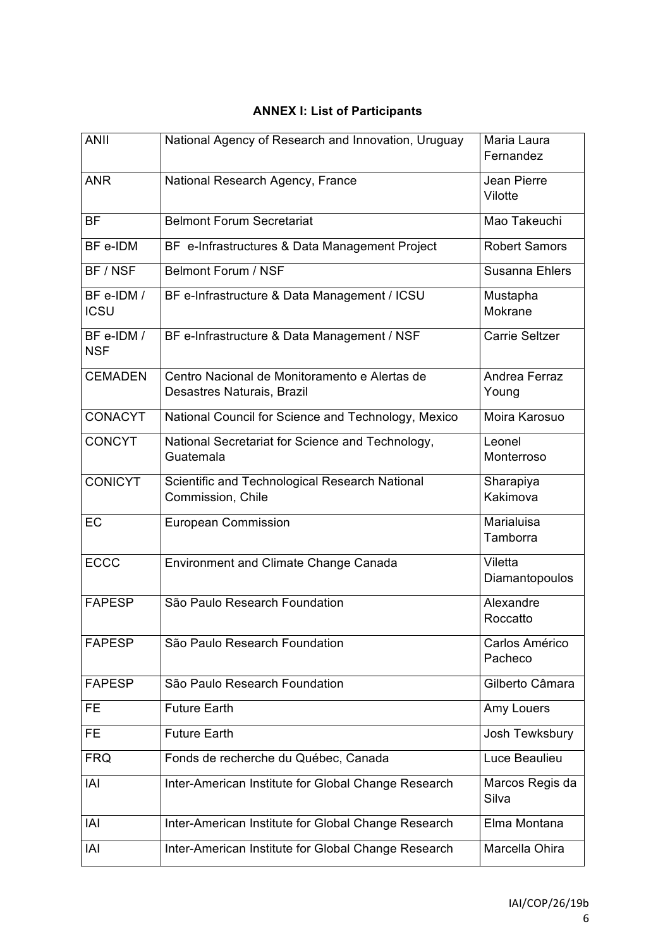| <b>ANII</b>               | National Agency of Research and Innovation, Uruguay                         | Maria Laura<br>Fernandez  |
|---------------------------|-----------------------------------------------------------------------------|---------------------------|
| <b>ANR</b>                | National Research Agency, France                                            | Jean Pierre<br>Vilotte    |
| <b>BF</b>                 | <b>Belmont Forum Secretariat</b>                                            | Mao Takeuchi              |
| BF e-IDM                  | BF e-Infrastructures & Data Management Project                              | <b>Robert Samors</b>      |
| BF/NSF                    | <b>Belmont Forum / NSF</b>                                                  | Susanna Ehlers            |
| BF e-IDM /<br><b>ICSU</b> | BF e-Infrastructure & Data Management / ICSU                                | Mustapha<br>Mokrane       |
| BF e-IDM /<br><b>NSF</b>  | BF e-Infrastructure & Data Management / NSF                                 | <b>Carrie Seltzer</b>     |
| <b>CEMADEN</b>            | Centro Nacional de Monitoramento e Alertas de<br>Desastres Naturais, Brazil | Andrea Ferraz<br>Young    |
| <b>CONACYT</b>            | National Council for Science and Technology, Mexico                         | Moira Karosuo             |
| <b>CONCYT</b>             | National Secretariat for Science and Technology,<br>Guatemala               | Leonel<br>Monterroso      |
| <b>CONICYT</b>            | Scientific and Technological Research National<br>Commission, Chile         | Sharapiya<br>Kakimova     |
| EC                        | <b>European Commission</b>                                                  | Marialuisa<br>Tamborra    |
| <b>ECCC</b>               | Environment and Climate Change Canada                                       | Viletta<br>Diamantopoulos |
| <b>FAPESP</b>             | São Paulo Research Foundation                                               | Alexandre<br>Roccatto     |
| <b>FAPESP</b>             | São Paulo Research Foundation                                               | Carlos Américo<br>Pacheco |
| <b>FAPESP</b>             | São Paulo Research Foundation                                               | Gilberto Câmara           |
| FE                        | <b>Future Earth</b>                                                         | Amy Louers                |
| FE                        | <b>Future Earth</b>                                                         | Josh Tewksbury            |
| <b>FRQ</b>                | Fonds de recherche du Québec, Canada                                        | Luce Beaulieu             |
| IAI                       | Inter-American Institute for Global Change Research                         | Marcos Regis da<br>Silva  |
| IAI                       | Inter-American Institute for Global Change Research                         | Elma Montana              |
| IAI                       | Inter-American Institute for Global Change Research                         | Marcella Ohira            |

# **ANNEX I: List of Participants**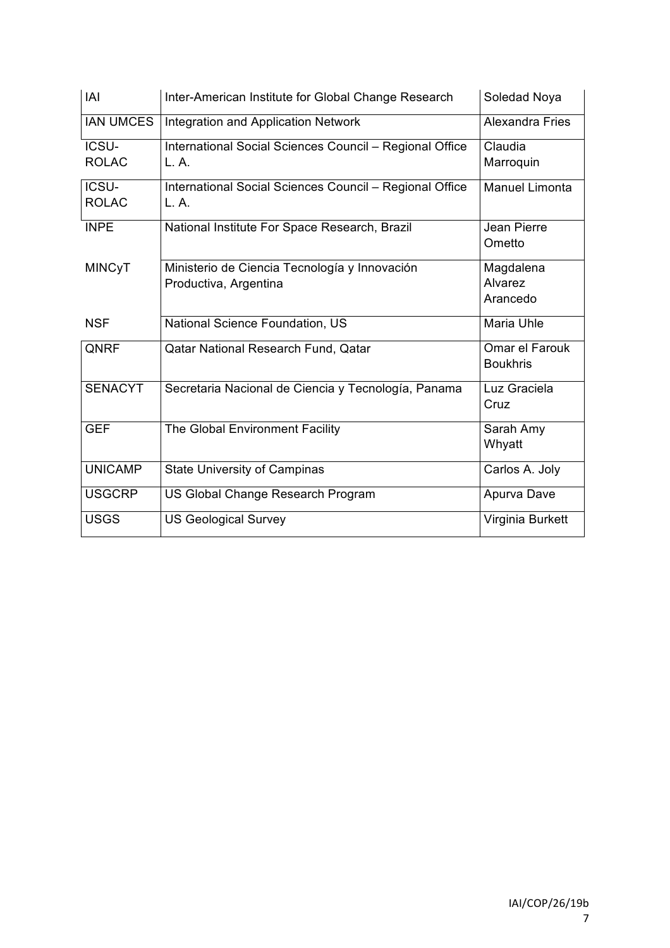| <b>IAI</b>       | Inter-American Institute for Global Change Research     | Soledad Noya           |
|------------------|---------------------------------------------------------|------------------------|
| <b>IAN UMCES</b> | Integration and Application Network                     | <b>Alexandra Fries</b> |
| ICSU-            | International Social Sciences Council - Regional Office | Claudia                |
| <b>ROLAC</b>     | L.A.                                                    | Marroquin              |
| ICSU-            | International Social Sciences Council - Regional Office | <b>Manuel Limonta</b>  |
| <b>ROLAC</b>     | L.A.                                                    |                        |
| <b>INPE</b>      | National Institute For Space Research, Brazil           | Jean Pierre            |
|                  |                                                         | Ometto                 |
| <b>MINCyT</b>    | Ministerio de Ciencia Tecnología y Innovación           | Magdalena              |
|                  | Productiva, Argentina                                   | Alvarez                |
|                  |                                                         | Arancedo               |
| <b>NSF</b>       | National Science Foundation, US                         | Maria Uhle             |
| QNRF             | <b>Qatar National Research Fund, Qatar</b>              | Omar el Farouk         |
|                  |                                                         | <b>Boukhris</b>        |
| <b>SENACYT</b>   | Secretaria Nacional de Ciencia y Tecnología, Panama     | Luz Graciela           |
|                  |                                                         | Cruz                   |
| <b>GEF</b>       | The Global Environment Facility                         | Sarah Amy              |
|                  |                                                         | Whyatt                 |
| <b>UNICAMP</b>   | <b>State University of Campinas</b>                     | Carlos A. Joly         |
| <b>USGCRP</b>    | US Global Change Research Program                       | Apurva Dave            |
| <b>USGS</b>      | <b>US Geological Survey</b>                             | Virginia Burkett       |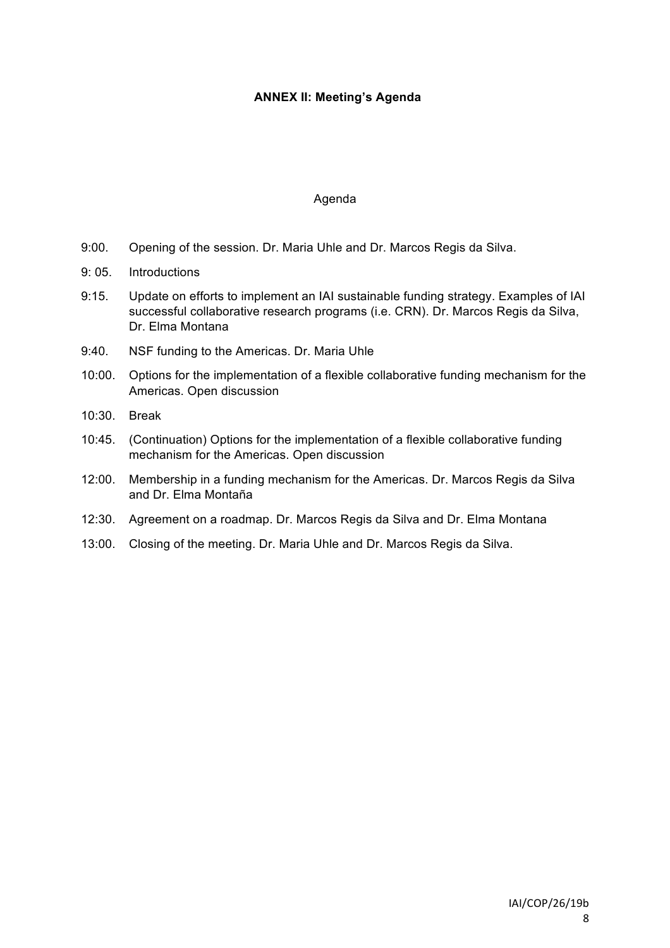# **ANNEX II: Meeting's Agenda**

#### Agenda

- 9:00. Opening of the session. Dr. Maria Uhle and Dr. Marcos Regis da Silva.
- 9: 05. Introductions
- 9:15. Update on efforts to implement an IAI sustainable funding strategy. Examples of IAI successful collaborative research programs (i.e. CRN). Dr. Marcos Regis da Silva, Dr. Elma Montana
- 9:40. NSF funding to the Americas. Dr. Maria Uhle
- 10:00. Options for the implementation of a flexible collaborative funding mechanism for the Americas. Open discussion
- 10:30. Break
- 10:45. (Continuation) Options for the implementation of a flexible collaborative funding mechanism for the Americas. Open discussion
- 12:00. Membership in a funding mechanism for the Americas. Dr. Marcos Regis da Silva and Dr. Elma Montaña
- 12:30. Agreement on a roadmap. Dr. Marcos Regis da Silva and Dr. Elma Montana
- 13:00. Closing of the meeting. Dr. Maria Uhle and Dr. Marcos Regis da Silva.